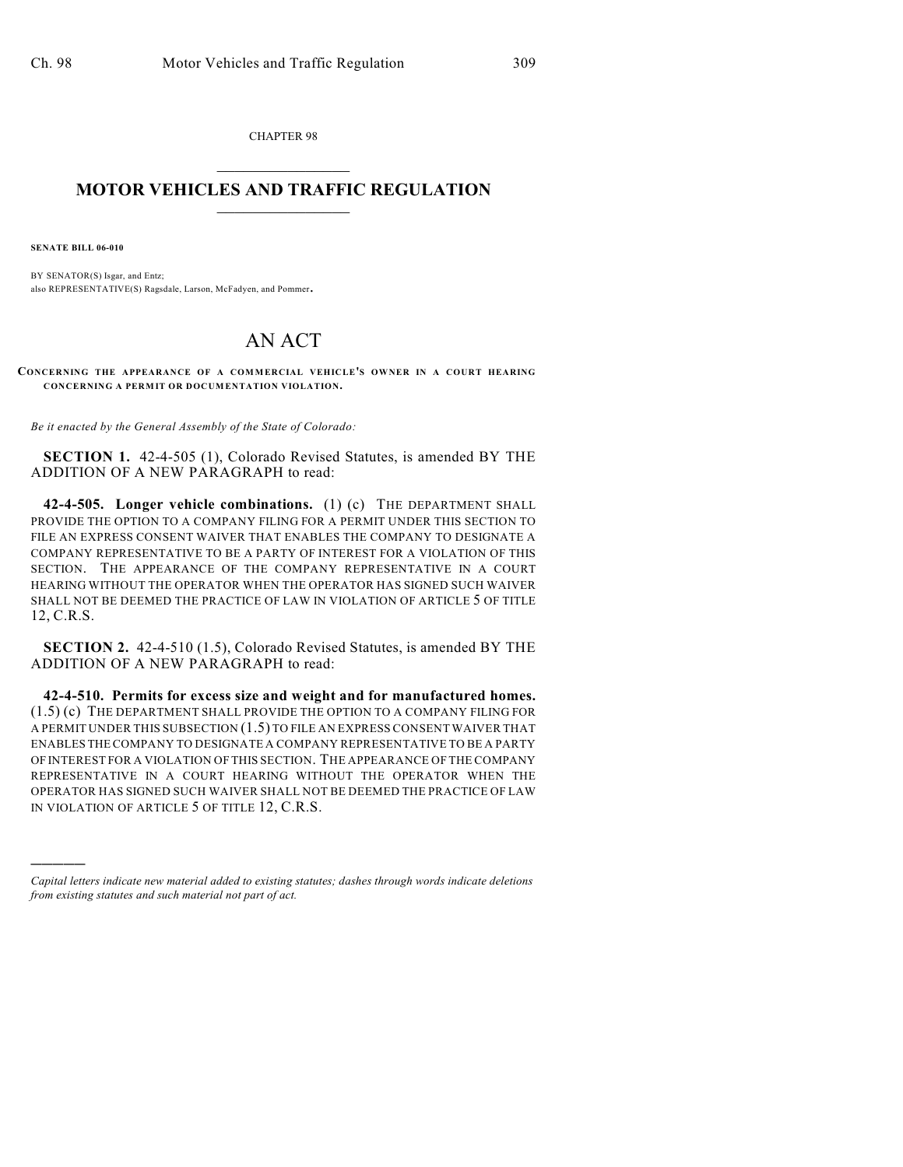CHAPTER 98  $\mathcal{L}_\text{max}$  . The set of the set of the set of the set of the set of the set of the set of the set of the set of the set of the set of the set of the set of the set of the set of the set of the set of the set of the set

## **MOTOR VEHICLES AND TRAFFIC REGULATION**  $\frac{1}{2}$  ,  $\frac{1}{2}$  ,  $\frac{1}{2}$  ,  $\frac{1}{2}$  ,  $\frac{1}{2}$  ,  $\frac{1}{2}$  ,  $\frac{1}{2}$  ,  $\frac{1}{2}$

**SENATE BILL 06-010**

)))))

BY SENATOR(S) Isgar, and Entz; also REPRESENTATIVE(S) Ragsdale, Larson, McFadyen, and Pommer.

## AN ACT

**CONCERNING THE APPEARANCE OF A COMMERCIAL VEHICLE'S OWNER IN A COURT HEARING CONCERNING A PERMIT OR DOCUMENTATION VIOLATION.**

*Be it enacted by the General Assembly of the State of Colorado:*

**SECTION 1.** 42-4-505 (1), Colorado Revised Statutes, is amended BY THE ADDITION OF A NEW PARAGRAPH to read:

**42-4-505. Longer vehicle combinations.** (1) (c) THE DEPARTMENT SHALL PROVIDE THE OPTION TO A COMPANY FILING FOR A PERMIT UNDER THIS SECTION TO FILE AN EXPRESS CONSENT WAIVER THAT ENABLES THE COMPANY TO DESIGNATE A COMPANY REPRESENTATIVE TO BE A PARTY OF INTEREST FOR A VIOLATION OF THIS SECTION. THE APPEARANCE OF THE COMPANY REPRESENTATIVE IN A COURT HEARING WITHOUT THE OPERATOR WHEN THE OPERATOR HAS SIGNED SUCH WAIVER SHALL NOT BE DEEMED THE PRACTICE OF LAW IN VIOLATION OF ARTICLE 5 OF TITLE 12, C.R.S.

**SECTION 2.** 42-4-510 (1.5), Colorado Revised Statutes, is amended BY THE ADDITION OF A NEW PARAGRAPH to read:

**42-4-510. Permits for excess size and weight and for manufactured homes.** (1.5) (c) THE DEPARTMENT SHALL PROVIDE THE OPTION TO A COMPANY FILING FOR A PERMIT UNDER THIS SUBSECTION (1.5) TO FILE AN EXPRESS CONSENT WAIVER THAT ENABLES THE COMPANY TO DESIGNATE A COMPANY REPRESENTATIVE TO BE A PARTY OF INTEREST FOR A VIOLATION OF THIS SECTION. THE APPEARANCE OF THE COMPANY REPRESENTATIVE IN A COURT HEARING WITHOUT THE OPERATOR WHEN THE OPERATOR HAS SIGNED SUCH WAIVER SHALL NOT BE DEEMED THE PRACTICE OF LAW IN VIOLATION OF ARTICLE 5 OF TITLE 12, C.R.S.

*Capital letters indicate new material added to existing statutes; dashes through words indicate deletions from existing statutes and such material not part of act.*